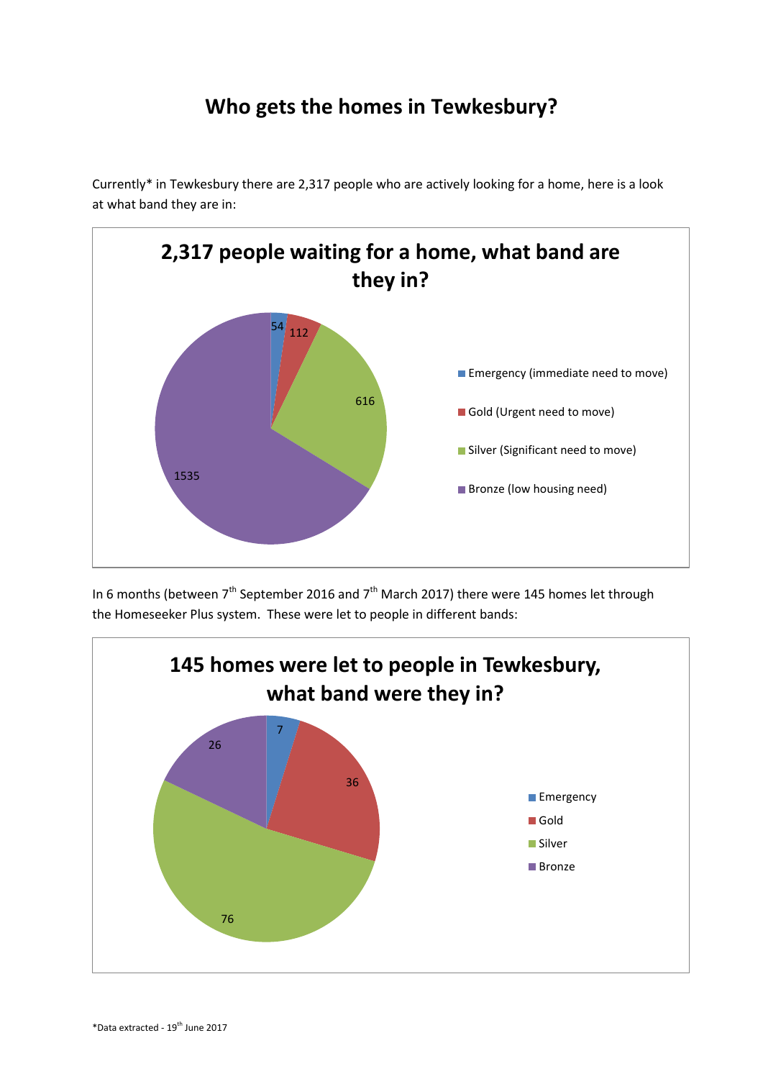## **Who gets the homes in Tewkesbury?**

Currently\* in Tewkesbury there are 2,317 people who are actively looking for a home, here is a look at what band they are in:



In 6 months (between  $7<sup>th</sup>$  September 2016 and  $7<sup>th</sup>$  March 2017) there were 145 homes let through the Homeseeker Plus system. These were let to people in different bands: